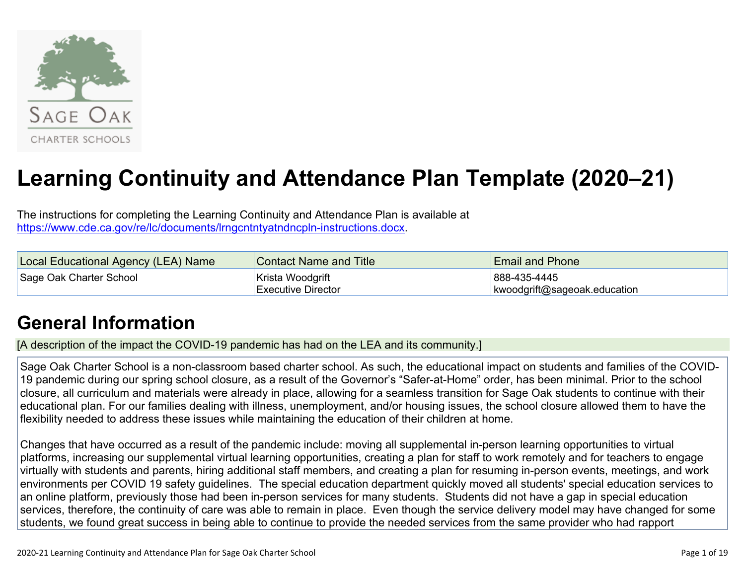

# **Learning Continuity and Attendance Plan Template (2020–21)**

The instructions for completing the Learning Continuity and Attendance Plan is available at <https://www.cde.ca.gov/re/lc/documents/lrngcntntyatndncpln-instructions.docx>.

| Local Educational Agency (LEA) Name | <b>Contact Name and Title</b> | <b>Email and Phone</b>       |
|-------------------------------------|-------------------------------|------------------------------|
| Sage Oak Charter School             | Krista Woodgrift              | 888-435-4445                 |
|                                     | <b>Executive Director</b>     | kwoodgrift@sageoak.education |

## **General [Information](http://www.doc-tracking.com/screenshots/20LCP/Instructions/20LCPInstructions.htm#generalinformation)**

[A description of the impact the COVID-19 pandemic has had on the LEA and its community.]

Sage Oak Charter School is a non-classroom based charter school. As such, the educational impact on students and families of the COVID-19 pandemic during our spring school closure, as a result of the Governor's "Safer-at-Home" order, has been minimal. Prior to the school closure, all curriculum and materials were already in place, allowing for a seamless transition for Sage Oak students to continue with their educational plan. For our families dealing with illness, unemployment, and/or housing issues, the school closure allowed them to have the flexibility needed to address these issues while maintaining the education of their children at home.

Changes that have occurred as a result of the pandemic include: moving all supplemental in-person learning opportunities to virtual platforms, increasing our supplemental virtual learning opportunities, creating a plan for staff to work remotely and for teachers to engage virtually with students and parents, hiring additional staff members, and creating a plan for resuming in-person events, meetings, and work environments per COVID 19 safety guidelines. The special education department quickly moved all students' special education services to an online platform, previously those had been in-person services for many students. Students did not have a gap in special education services, therefore, the continuity of care was able to remain in place. Even though the service delivery model may have changed for some students, we found great success in being able to continue to provide the needed services from the same provider who had rapport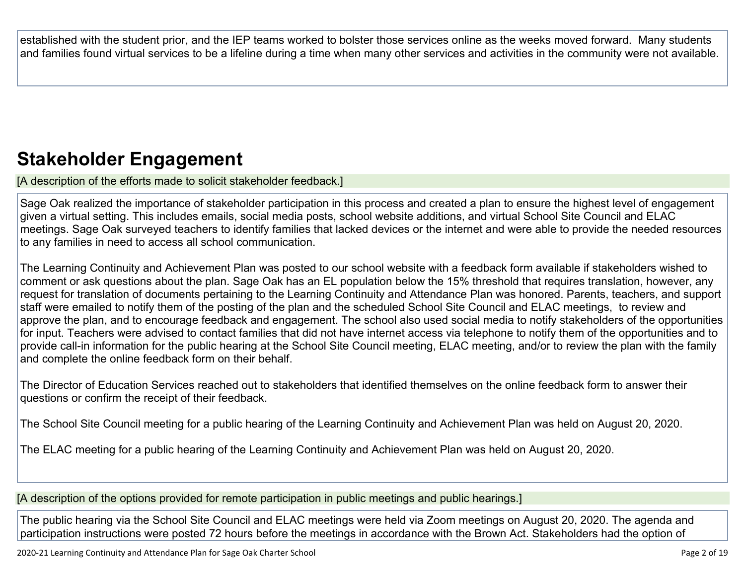established with the student prior, and the IEP teams worked to bolster those services online as the weeks moved forward. Many students and families found virtual services to be a lifeline during a time when many other services and activities in the community were not available.

## **Stakeholder [Engagement](http://www.doc-tracking.com/screenshots/20LCP/Instructions/20LCPInstructions.htm#stakeholderengagement)**

[A description of the efforts made to solicit stakeholder feedback.]

Sage Oak realized the importance of stakeholder participation in this process and created a plan to ensure the highest level of engagement given a virtual setting. This includes emails, social media posts, school website additions, and virtual School Site Council and ELAC meetings. Sage Oak surveyed teachers to identify families that lacked devices or the internet and were able to provide the needed resources to any families in need to access all school communication.

The Learning Continuity and Achievement Plan was posted to our school website with a feedback form available if stakeholders wished to comment or ask questions about the plan. Sage Oak has an EL population below the 15% threshold that requires translation, however, any request for translation of documents pertaining to the Learning Continuity and Attendance Plan was honored. Parents, teachers, and support staff were emailed to notify them of the posting of the plan and the scheduled School Site Council and ELAC meetings, to review and approve the plan, and to encourage feedback and engagement. The school also used social media to notify stakeholders of the opportunities for input. Teachers were advised to contact families that did not have internet access via telephone to notify them of the opportunities and to provide call-in information for the public hearing at the School Site Council meeting, ELAC meeting, and/or to review the plan with the family and complete the online feedback form on their behalf.

The Director of Education Services reached out to stakeholders that identified themselves on the online feedback form to answer their questions or confirm the receipt of their feedback.

The School Site Council meeting for a public hearing of the Learning Continuity and Achievement Plan was held on August 20, 2020.

The ELAC meeting for a public hearing of the Learning Continuity and Achievement Plan was held on August 20, 2020.

[A description of the options provided for remote participation in public meetings and public hearings.]

The public hearing via the School Site Council and ELAC meetings were held via Zoom meetings on August 20, 2020. The agenda and participation instructions were posted 72 hours before the meetings in accordance with the Brown Act. Stakeholders had the option of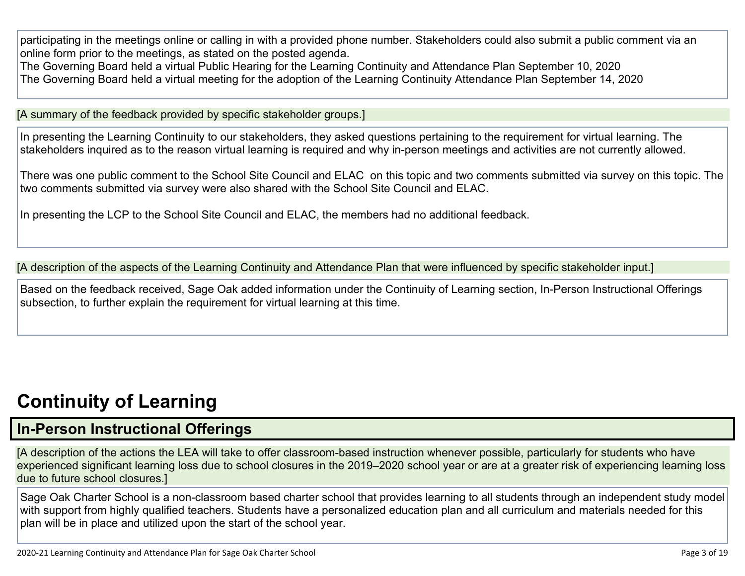participating in the meetings online or calling in with a provided phone number. Stakeholders could also submit a public comment via an online form prior to the meetings, as stated on the posted agenda.

The Governing Board held a virtual Public Hearing for the Learning Continuity and Attendance Plan September 10, 2020 The Governing Board held a virtual meeting for the adoption of the Learning Continuity Attendance Plan September 14, 2020

[A summary of the feedback provided by specific stakeholder groups.]

In presenting the Learning Continuity to our stakeholders, they asked questions pertaining to the requirement for virtual learning. The stakeholders inquired as to the reason virtual learning is required and why in-person meetings and activities are not currently allowed.

There was one public comment to the School Site Council and ELAC on this topic and two comments submitted via survey on this topic. The two comments submitted via survey were also shared with the School Site Council and ELAC.

In presenting the LCP to the School Site Council and ELAC, the members had no additional feedback.

[A description of the aspects of the Learning Continuity and Attendance Plan that were influenced by specific stakeholder input.]

Based on the feedback received, Sage Oak added information under the Continuity of Learning section, In-Person Instructional Offerings subsection, to further explain the requirement for virtual learning at this time.

## **[Continuity](http://www.doc-tracking.com/screenshots/20LCP/Instructions/20LCPInstructions.htm#ContinuityofLearning) of Learnin[g](http://www.doc-tracking.com/screenshots/20LCP/Instructions/20LCPInstructions.htm#ContinuityofLearning)**

### **In-Person [Instructional](http://www.doc-tracking.com/screenshots/20LCP/Instructions/20LCPInstructions.htm#ContinuityofLearning1) Offerings**

[A description of the actions the LEA will take to offer classroom-based instruction whenever possible, particularly for students who have experienced significant learning loss due to school closures in the 2019–2020 school year or are at a greater risk of experiencing learning loss due to future school closures.]

Sage Oak Charter School is a non-classroom based charter school that provides learning to all students through an independent study model with support from highly qualified teachers. Students have a personalized education plan and all curriculum and materials needed for this plan will be in place and utilized upon the start of the school year.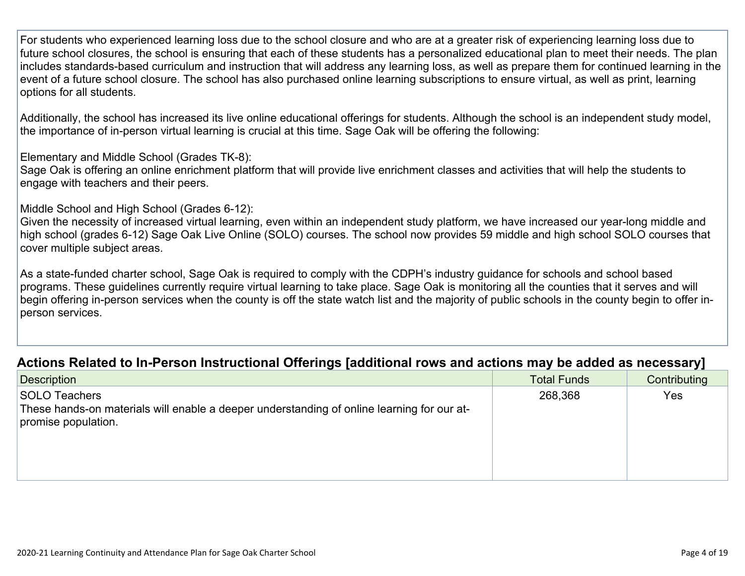For students who experienced learning loss due to the school closure and who are at a greater risk of experiencing learning loss due to future school closures, the school is ensuring that each of these students has a personalized educational plan to meet their needs. The plan includes standards-based curriculum and instruction that will address any learning loss, as well as prepare them for continued learning in the event of a future school closure. The school has also purchased online learning subscriptions to ensure virtual, as well as print, learning options for all students.

Additionally, the school has increased its live online educational offerings for students. Although the school is an independent study model, the importance of in-person virtual learning is crucial at this time. Sage Oak will be offering the following:

Elementary and Middle School (Grades TK-8):

Sage Oak is offering an online enrichment platform that will provide live enrichment classes and activities that will help the students to engage with teachers and their peers.

Middle School and High School (Grades 6-12):

Given the necessity of increased virtual learning, even within an independent study platform, we have increased our year-long middle and high school (grades 6-12) Sage Oak Live Online (SOLO) courses. The school now provides 59 middle and high school SOLO courses that cover multiple subject areas.

As a state-funded charter school, Sage Oak is required to comply with the CDPH's industry guidance for schools and school based programs. These guidelines currently require virtual learning to take place. Sage Oak is monitoring all the counties that it serves and will begin offering in-person services when the county is off the state watch list and the majority of public schools in the county begin to offer inperson services.

### **Actions Related to In-Person [Instructional](http://www.doc-tracking.com/screenshots/20LCP/Instructions/20LCPInstructions.htm#ContinuityofLearning2) Offerings [additional rows and actions may be added as necessary]**

| <b>Description</b>                                                                                                                        | <b>Total Funds</b> | Contributing |
|-------------------------------------------------------------------------------------------------------------------------------------------|--------------------|--------------|
| <b>SOLO Teachers</b><br>These hands-on materials will enable a deeper understanding of online learning for our at-<br>promise population. | 268,368            | Yes          |
|                                                                                                                                           |                    |              |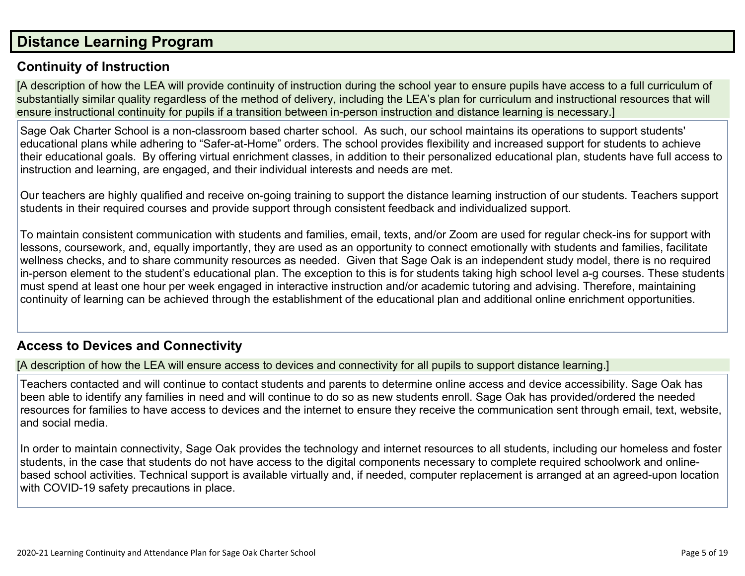### **Distance [Learning](http://www.doc-tracking.com/screenshots/20LCP/Instructions/20LCPInstructions.htm#DistanceLearningProgram) Program**

### **Continuity of [Instruction](http://www.doc-tracking.com/screenshots/20LCP/Instructions/20LCPInstructions.htm#DistanceLearningProgram1)**

[A description of how the LEA will provide continuity of instruction during the school year to ensure pupils have access to a full curriculum of substantially similar quality regardless of the method of delivery, including the LEA's plan for curriculum and instructional resources that will ensure instructional continuity for pupils if a transition between in-person instruction and distance learning is necessary.]

Sage Oak Charter School is a non-classroom based charter school. As such, our school maintains its operations to support students' educational plans while adhering to "Safer-at-Home" orders. The school provides flexibility and increased support for students to achieve their educational goals. By offering virtual enrichment classes, in addition to their personalized educational plan, students have full access to instruction and learning, are engaged, and their individual interests and needs are met.

Our teachers are highly qualified and receive on-going training to support the distance learning instruction of our students. Teachers support students in their required courses and provide support through consistent feedback and individualized support.

To maintain consistent communication with students and families, email, texts, and/or Zoom are used for regular check-ins for support with lessons, coursework, and, equally importantly, they are used as an opportunity to connect emotionally with students and families, facilitate wellness checks, and to share community resources as needed. Given that Sage Oak is an independent study model, there is no required in-person element to the student's educational plan. The exception to this is for students taking high school level a-g courses. These students must spend at least one hour per week engaged in interactive instruction and/or academic tutoring and advising. Therefore, maintaining continuity of learning can be achieved through the establishment of the educational plan and additional online enrichment opportunities.

### **Access to Devices and [Connectivity](http://www.doc-tracking.com/screenshots/20LCP/Instructions/20LCPInstructions.htm#DistanceLearningProgram2)**

[A description of how the LEA will ensure access to devices and connectivity for all pupils to support distance learning.]

Teachers contacted and will continue to contact students and parents to determine online access and device accessibility. Sage Oak has been able to identify any families in need and will continue to do so as new students enroll. Sage Oak has provided/ordered the needed resources for families to have access to devices and the internet to ensure they receive the communication sent through email, text, website, and social media.

In order to maintain connectivity, Sage Oak provides the technology and internet resources to all students, including our homeless and foster students, in the case that students do not have access to the digital components necessary to complete required schoolwork and onlinebased school activities. Technical support is available virtually and, if needed, computer replacement is arranged at an agreed-upon location with COVID-19 safety precautions in place.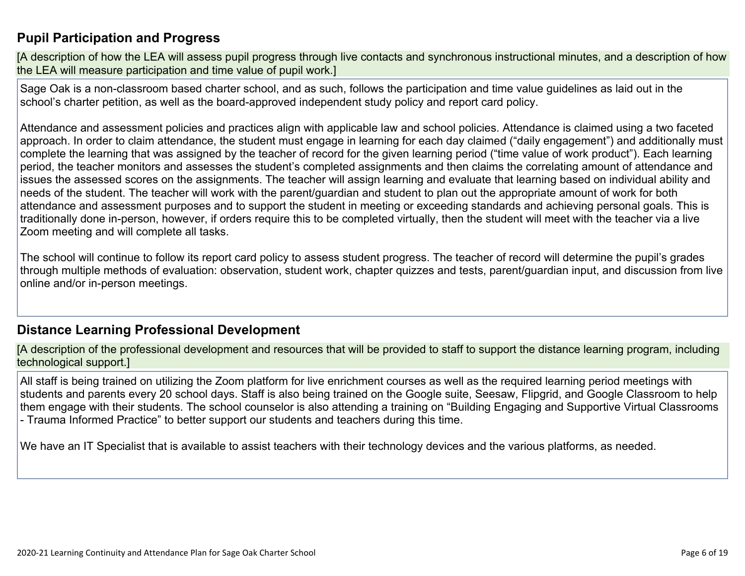### **Pupil [Participation](http://www.doc-tracking.com/screenshots/20LCP/Instructions/20LCPInstructions.htm#DistanceLearningProgram3) and Progress**

[A description of how the LEA will assess pupil progress through live contacts and synchronous instructional minutes, and a description of how the LEA will measure participation and time value of pupil work.]

Sage Oak is a non-classroom based charter school, and as such, follows the participation and time value guidelines as laid out in the school's charter petition, as well as the board-approved independent study policy and report card policy.

Attendance and assessment policies and practices align with applicable law and school policies. Attendance is claimed using a two faceted approach. In order to claim attendance, the student must engage in learning for each day claimed ("daily engagement") and additionally must complete the learning that was assigned by the teacher of record for the given learning period ("time value of work product"). Each learning period, the teacher monitors and assesses the student's completed assignments and then claims the correlating amount of attendance and issues the assessed scores on the assignments. The teacher will assign learning and evaluate that learning based on individual ability and needs of the student. The teacher will work with the parent/guardian and student to plan out the appropriate amount of work for both attendance and assessment purposes and to support the student in meeting or exceeding standards and achieving personal goals. This is traditionally done in-person, however, if orders require this to be completed virtually, then the student will meet with the teacher via a live Zoom meeting and will complete all tasks.

The school will continue to follow its report card policy to assess student progress. The teacher of record will determine the pupil's grades through multiple methods of evaluation: observation, student work, chapter quizzes and tests, parent/guardian input, and discussion from live online and/or in-person meetings.

### **Distance Learning Professional [Development](http://www.doc-tracking.com/screenshots/20LCP/Instructions/20LCPInstructions.htm#DistanceLearningProgram4)**

[A description of the professional development and resources that will be provided to staff to support the distance learning program, including technological support.]

All staff is being trained on utilizing the Zoom platform for live enrichment courses as well as the required learning period meetings with students and parents every 20 school days. Staff is also being trained on the Google suite, Seesaw, Flipgrid, and Google Classroom to help them engage with their students. The school counselor is also attending a training on "Building Engaging and Supportive Virtual Classrooms - Trauma Informed Practice" to better support our students and teachers during this time.

We have an IT Specialist that is available to assist teachers with their technology devices and the various platforms, as needed.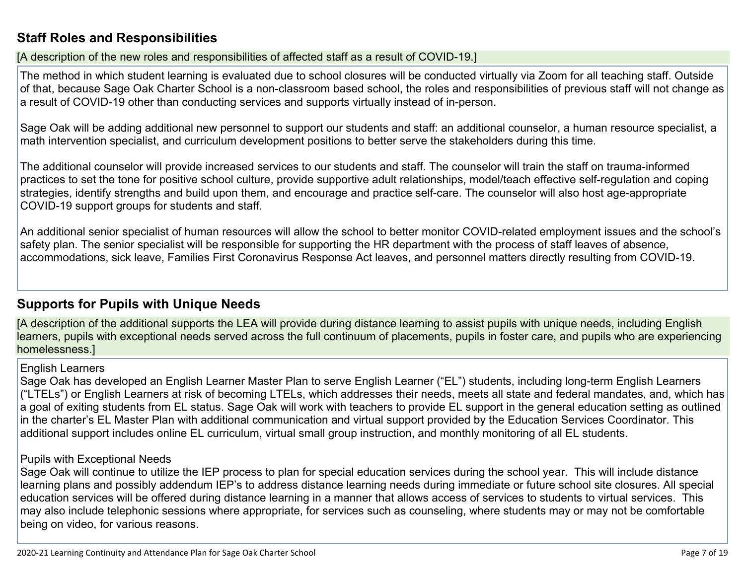### **Staff Roles and [Responsibilities](http://www.doc-tracking.com/screenshots/20LCP/Instructions/20LCPInstructions.htm#DistanceLearningProgram5)**

[A description of the new roles and responsibilities of affected staff as a result of COVID-19.]

The method in which student learning is evaluated due to school closures will be conducted virtually via Zoom for all teaching staff. Outside of that, because Sage Oak Charter School is a non-classroom based school, the roles and responsibilities of previous staff will not change as a result of COVID-19 other than conducting services and supports virtually instead of in-person.

Sage Oak will be adding additional new personnel to support our students and staff: an additional counselor, a human resource specialist, a math intervention specialist, and curriculum development positions to better serve the stakeholders during this time.

The additional counselor will provide increased services to our students and staff. The counselor will train the staff on trauma-informed practices to set the tone for positive school culture, provide supportive adult relationships, model/teach effective self-regulation and coping strategies, identify strengths and build upon them, and encourage and practice self-care. The counselor will also host age-appropriate COVID-19 support groups for students and staff.

An additional senior specialist of human resources will allow the school to better monitor COVID-related employment issues and the school's safety plan. The senior specialist will be responsible for supporting the HR department with the process of staff leaves of absence, accommodations, sick leave, Families First Coronavirus Response Act leaves, and personnel matters directly resulting from COVID-19.

### **[Supports](http://www.doc-tracking.com/screenshots/20LCP/Instructions/20LCPInstructions.htm#DistanceLearningProgram6) for Pupils with Unique Needs**

[A description of the additional supports the LEA will provide during distance learning to assist pupils with unique needs, including English learners, pupils with exceptional needs served across the full continuum of placements, pupils in foster care, and pupils who are experiencing homelessness.]

### English Learners

Sage Oak has developed an English Learner Master Plan to serve English Learner ("EL") students, including long-term English Learners ("LTELs") or English Learners at risk of becoming LTELs, which addresses their needs, meets all state and federal mandates, and, which has a goal of exiting students from EL status. Sage Oak will work with teachers to provide EL support in the general education setting as outlined in the charter's EL Master Plan with additional communication and virtual support provided by the Education Services Coordinator. This additional support includes online EL curriculum, virtual small group instruction, and monthly monitoring of all EL students.

### Pupils with Exceptional Needs

Sage Oak will continue to utilize the IEP process to plan for special education services during the school year. This will include distance learning plans and possibly addendum IEP's to address distance learning needs during immediate or future school site closures. All special education services will be offered during distance learning in a manner that allows access of services to students to virtual services. This may also include telephonic sessions where appropriate, for services such as counseling, where students may or may not be comfortable being on video, for various reasons.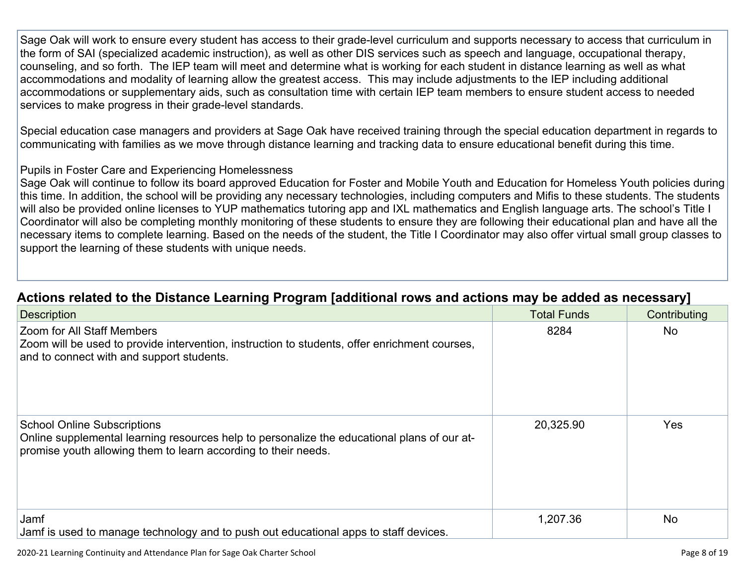Sage Oak will work to ensure every student has access to their grade-level curriculum and supports necessary to access that curriculum in the form of SAI (specialized academic instruction), as well as other DIS services such as speech and language, occupational therapy, counseling, and so forth. The IEP team will meet and determine what is working for each student in distance learning as well as what accommodations and modality of learning allow the greatest access. This may include adjustments to the IEP including additional accommodations or supplementary aids, such as consultation time with certain IEP team members to ensure student access to needed services to make progress in their grade-level standards.

Special education case managers and providers at Sage Oak have received training through the special education department in regards to communicating with families as we move through distance learning and tracking data to ensure educational benefit during this time.

### Pupils in Foster Care and Experiencing Homelessness

Sage Oak will continue to follow its board approved Education for Foster and Mobile Youth and Education for Homeless Youth policies during this time. In addition, the school will be providing any necessary technologies, including computers and Mifis to these students. The students will also be provided online licenses to YUP mathematics tutoring app and IXL mathematics and English language arts. The school's Title I Coordinator will also be completing monthly monitoring of these students to ensure they are following their educational plan and have all the necessary items to complete learning. Based on the needs of the student, the Title I Coordinator may also offer virtual small group classes to support the learning of these students with unique needs.

| <b>Description</b>                                                                                                                                                                                  | <b>Total Funds</b> | Contributing |
|-----------------------------------------------------------------------------------------------------------------------------------------------------------------------------------------------------|--------------------|--------------|
| <b>Zoom for All Staff Members</b><br>Zoom will be used to provide intervention, instruction to students, offer enrichment courses,<br>and to connect with and support students.                     | 8284               | <b>No</b>    |
| <b>School Online Subscriptions</b><br>Online supplemental learning resources help to personalize the educational plans of our at-<br>promise youth allowing them to learn according to their needs. | 20,325.90          | <b>Yes</b>   |
| Jamf<br>Jamf is used to manage technology and to push out educational apps to staff devices.                                                                                                        | 1,207.36           | <b>No</b>    |

### **Actions related to the Distance Learning Program [additional rows and actions may be added as [necessary\]](http://www.doc-tracking.com/screenshots/20LCP/Instructions/20LCPInstructions.htm#DistanceLearningProgram7)**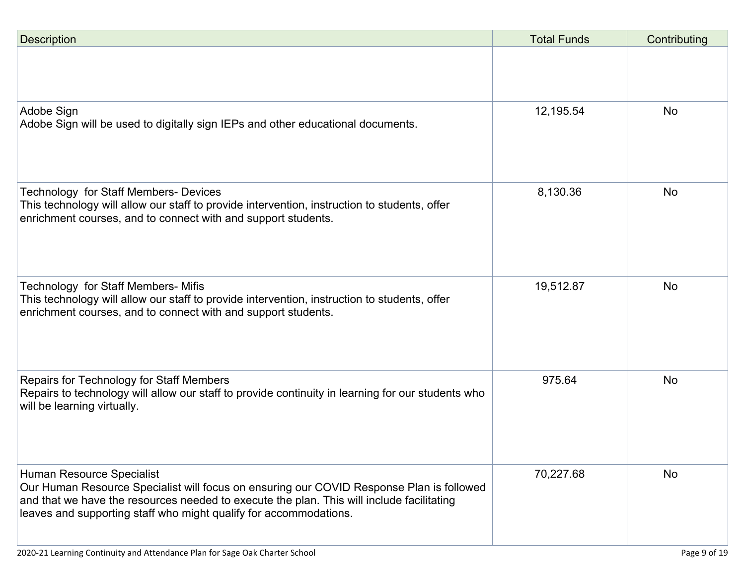| <b>Description</b>                                                                                                                                                                                                                                                                      | <b>Total Funds</b> | Contributing |
|-----------------------------------------------------------------------------------------------------------------------------------------------------------------------------------------------------------------------------------------------------------------------------------------|--------------------|--------------|
|                                                                                                                                                                                                                                                                                         |                    |              |
| Adobe Sign<br>Adobe Sign will be used to digitally sign IEPs and other educational documents.                                                                                                                                                                                           | 12,195.54          | <b>No</b>    |
| <b>Technology for Staff Members- Devices</b><br>This technology will allow our staff to provide intervention, instruction to students, offer<br>enrichment courses, and to connect with and support students.                                                                           | 8,130.36           | <b>No</b>    |
| Technology for Staff Members- Mifis<br>This technology will allow our staff to provide intervention, instruction to students, offer<br>enrichment courses, and to connect with and support students.                                                                                    | 19,512.87          | <b>No</b>    |
| Repairs for Technology for Staff Members<br>Repairs to technology will allow our staff to provide continuity in learning for our students who<br>will be learning virtually.                                                                                                            | 975.64             | <b>No</b>    |
| Human Resource Specialist<br>Our Human Resource Specialist will focus on ensuring our COVID Response Plan is followed<br>and that we have the resources needed to execute the plan. This will include facilitating<br>leaves and supporting staff who might qualify for accommodations. | 70,227.68          | <b>No</b>    |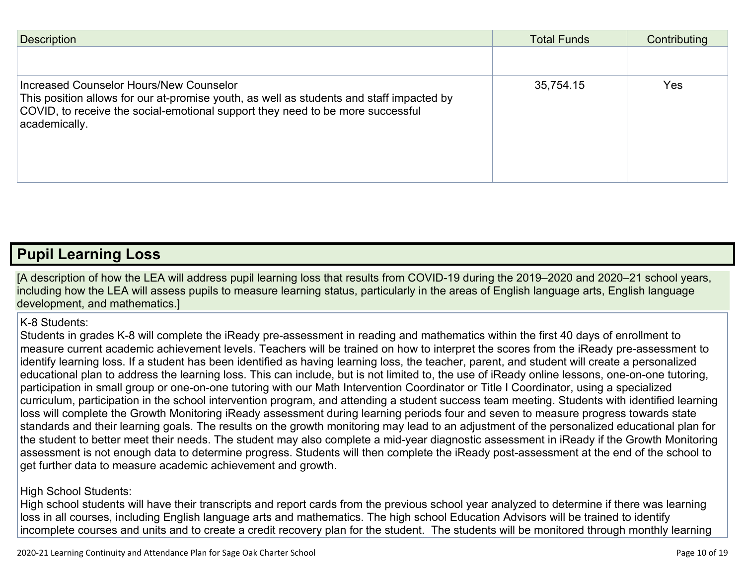| <b>Description</b>                                                                                                                                                                                                                     | <b>Total Funds</b> | Contributing |
|----------------------------------------------------------------------------------------------------------------------------------------------------------------------------------------------------------------------------------------|--------------------|--------------|
|                                                                                                                                                                                                                                        |                    |              |
| Increased Counselor Hours/New Counselor<br>This position allows for our at-promise youth, as well as students and staff impacted by<br>COVID, to receive the social-emotional support they need to be more successful<br>academically. | 35,754.15          | <b>Yes</b>   |

### **Pupil [Learning](http://www.doc-tracking.com/screenshots/20LCP/Instructions/20LCPInstructions.htm#PupilLearningLoss) Loss**

[A description of how the LEA will address pupil learning loss that results from COVID-19 during the 2019–2020 and 2020–21 school years, including how the LEA will assess pupils to measure learning status, particularly in the areas of English language arts, English language development, and mathematics.]

### K-8 Students:

Students in grades K-8 will complete the iReady pre-assessment in reading and mathematics within the first 40 days of enrollment to measure current academic achievement levels. Teachers will be trained on how to interpret the scores from the iReady pre-assessment to identify learning loss. If a student has been identified as having learning loss, the teacher, parent, and student will create a personalized educational plan to address the learning loss. This can include, but is not limited to, the use of iReady online lessons, one-on-one tutoring, participation in small group or one-on-one tutoring with our Math Intervention Coordinator or Title I Coordinator, using a specialized curriculum, participation in the school intervention program, and attending a student success team meeting. Students with identified learning loss will complete the Growth Monitoring iReady assessment during learning periods four and seven to measure progress towards state standards and their learning goals. The results on the growth monitoring may lead to an adjustment of the personalized educational plan for the student to better meet their needs. The student may also complete a mid-year diagnostic assessment in iReady if the Growth Monitoring assessment is not enough data to determine progress. Students will then complete the iReady post-assessment at the end of the school to get further data to measure academic achievement and growth.

### High School Students:

High school students will have their transcripts and report cards from the previous school year analyzed to determine if there was learning loss in all courses, including English language arts and mathematics. The high school Education Advisors will be trained to identify incomplete courses and units and to create a credit recovery plan for the student. The students will be monitored through monthly learning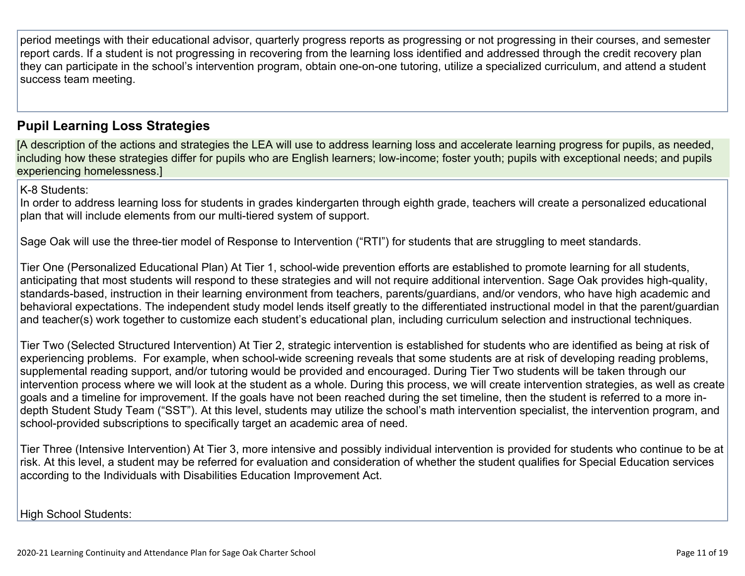period meetings with their educational advisor, quarterly progress reports as progressing or not progressing in their courses, and semester report cards. If a student is not progressing in recovering from the learning loss identified and addressed through the credit recovery plan they can participate in the school's intervention program, obtain one-on-one tutoring, utilize a specialized curriculum, and attend a student success team meeting.

### **Pupil Learning Loss [Strategies](http://www.doc-tracking.com/screenshots/20LCP/Instructions/20LCPInstructions.htm#PupilLearningLoss1)**

[A description of the actions and strategies the LEA will use to address learning loss and accelerate learning progress for pupils, as needed, including how these strategies differ for pupils who are English learners; low-income; foster youth; pupils with exceptional needs; and pupils experiencing homelessness.]

K-8 Students:

In order to address learning loss for students in grades kindergarten through eighth grade, teachers will create a personalized educational plan that will include elements from our multi-tiered system of support.

Sage Oak will use the three-tier model of Response to Intervention ("RTI") for students that are struggling to meet standards.

Tier One (Personalized Educational Plan) At Tier 1, school-wide prevention efforts are established to promote learning for all students, anticipating that most students will respond to these strategies and will not require additional intervention. Sage Oak provides high-quality, standards-based, instruction in their learning environment from teachers, parents/guardians, and/or vendors, who have high academic and behavioral expectations. The independent study model lends itself greatly to the differentiated instructional model in that the parent/guardian and teacher(s) work together to customize each student's educational plan, including curriculum selection and instructional techniques.

Tier Two (Selected Structured Intervention) At Tier 2, strategic intervention is established for students who are identified as being at risk of experiencing problems. For example, when school-wide screening reveals that some students are at risk of developing reading problems, supplemental reading support, and/or tutoring would be provided and encouraged. During Tier Two students will be taken through our intervention process where we will look at the student as a whole. During this process, we will create intervention strategies, as well as create goals and a timeline for improvement. If the goals have not been reached during the set timeline, then the student is referred to a more indepth Student Study Team ("SST"). At this level, students may utilize the school's math intervention specialist, the intervention program, and school-provided subscriptions to specifically target an academic area of need.

Tier Three (Intensive Intervention) At Tier 3, more intensive and possibly individual intervention is provided for students who continue to be at risk. At this level, a student may be referred for evaluation and consideration of whether the student qualifies for Special Education services according to the Individuals with Disabilities Education Improvement Act.

High School Students: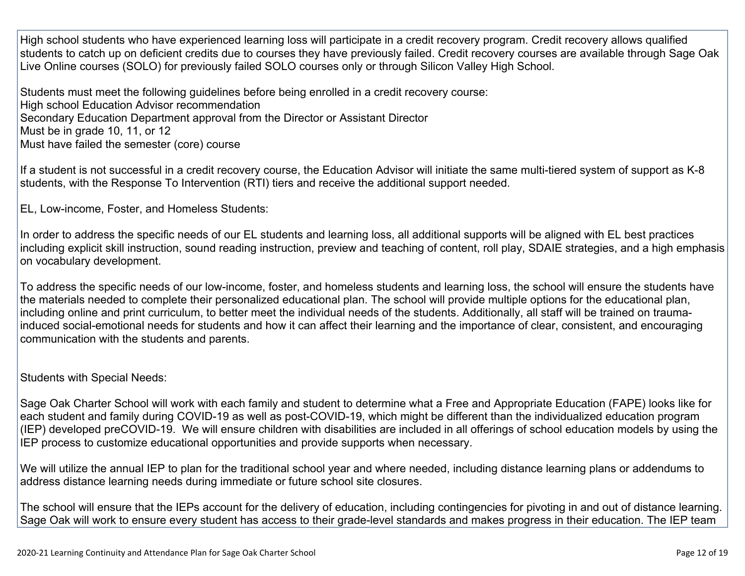High school students who have experienced learning loss will participate in a credit recovery program. Credit recovery allows qualified students to catch up on deficient credits due to courses they have previously failed. Credit recovery courses are available through Sage Oak Live Online courses (SOLO) for previously failed SOLO courses only or through Silicon Valley High School.

Students must meet the following guidelines before being enrolled in a credit recovery course: High school Education Advisor recommendation Secondary Education Department approval from the Director or Assistant Director Must be in grade 10, 11, or 12 Must have failed the semester (core) course

If a student is not successful in a credit recovery course, the Education Advisor will initiate the same multi-tiered system of support as K-8 students, with the Response To Intervention (RTI) tiers and receive the additional support needed.

EL, Low-income, Foster, and Homeless Students:

In order to address the specific needs of our EL students and learning loss, all additional supports will be aligned with EL best practices including explicit skill instruction, sound reading instruction, preview and teaching of content, roll play, SDAIE strategies, and a high emphasis on vocabulary development.

To address the specific needs of our low-income, foster, and homeless students and learning loss, the school will ensure the students have the materials needed to complete their personalized educational plan. The school will provide multiple options for the educational plan, including online and print curriculum, to better meet the individual needs of the students. Additionally, all staff will be trained on traumainduced social-emotional needs for students and how it can affect their learning and the importance of clear, consistent, and encouraging communication with the students and parents.

Students with Special Needs:

Sage Oak Charter School will work with each family and student to determine what a Free and Appropriate Education (FAPE) looks like for each student and family during COVID-19 as well as post-COVID-19, which might be different than the individualized education program (IEP) developed preCOVID-19. We will ensure children with disabilities are included in all offerings of school education models by using the IEP process to customize educational opportunities and provide supports when necessary.

We will utilize the annual IEP to plan for the traditional school year and where needed, including distance learning plans or addendums to address distance learning needs during immediate or future school site closures.

The school will ensure that the IEPs account for the delivery of education, including contingencies for pivoting in and out of distance learning. Sage Oak will work to ensure every student has access to their grade-level standards and makes progress in their education. The IEP team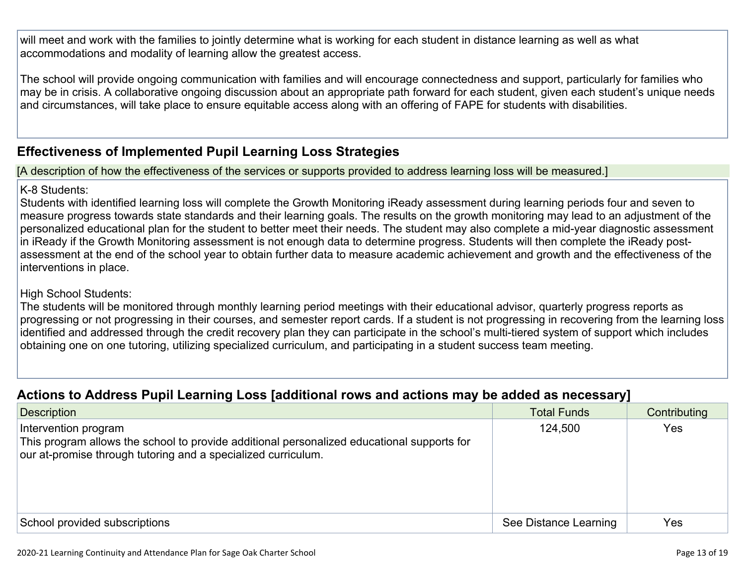will meet and work with the families to jointly determine what is working for each student in distance learning as well as what accommodations and modality of learning allow the greatest access.

The school will provide ongoing communication with families and will encourage connectedness and support, particularly for families who may be in crisis. A collaborative ongoing discussion about an appropriate path forward for each student, given each student's unique needs and circumstances, will take place to ensure equitable access along with an offering of FAPE for students with disabilities.

### **[Effectiveness](http://www.doc-tracking.com/screenshots/20LCP/Instructions/20LCPInstructions.htm#PupilLearningLoss2) of Implemented Pupil Learning Loss Strategies**

[A description of how the effectiveness of the services or supports provided to address learning loss will be measured.]

### K-8 Students:

Students with identified learning loss will complete the Growth Monitoring iReady assessment during learning periods four and seven to measure progress towards state standards and their learning goals. The results on the growth monitoring may lead to an adjustment of the personalized educational plan for the student to better meet their needs. The student may also complete a mid-year diagnostic assessment in iReady if the Growth Monitoring assessment is not enough data to determine progress. Students will then complete the iReady postassessment at the end of the school year to obtain further data to measure academic achievement and growth and the effectiveness of the interventions in place.

### High School Students:

The students will be monitored through monthly learning period meetings with their educational advisor, quarterly progress reports as progressing or not progressing in their courses, and semester report cards. If a student is not progressing in recovering from the learning loss identified and addressed through the credit recovery plan they can participate in the school's multi-tiered system of support which includes obtaining one on one tutoring, utilizing specialized curriculum, and participating in a student success team meeting.

### **Actions to Address Pupil Learning Loss [additional rows and actions may be added as [necessary\]](http://www.doc-tracking.com/screenshots/20LCP/Instructions/20LCPInstructions.htm#PupilLearningLoss4)**

| . .                                                                                                                                                                                 | . .                   |              |
|-------------------------------------------------------------------------------------------------------------------------------------------------------------------------------------|-----------------------|--------------|
| <b>Description</b>                                                                                                                                                                  | <b>Total Funds</b>    | Contributing |
| Intervention program<br>This program allows the school to provide additional personalized educational supports for<br>our at-promise through tutoring and a specialized curriculum. | 124,500               | <b>Yes</b>   |
| School provided subscriptions                                                                                                                                                       | See Distance Learning | Yes          |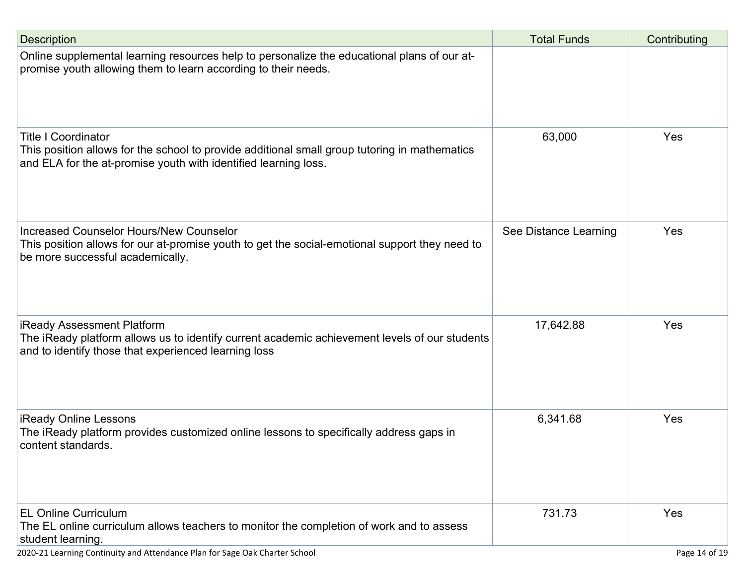| <b>Description</b>                                                                                                                                                                             | <b>Total Funds</b>    | Contributing |
|------------------------------------------------------------------------------------------------------------------------------------------------------------------------------------------------|-----------------------|--------------|
| Online supplemental learning resources help to personalize the educational plans of our at-<br>promise youth allowing them to learn according to their needs.                                  |                       |              |
| <b>Title I Coordinator</b><br>This position allows for the school to provide additional small group tutoring in mathematics<br>and ELA for the at-promise youth with identified learning loss. | 63,000                | Yes          |
| Increased Counselor Hours/New Counselor<br>This position allows for our at-promise youth to get the social-emotional support they need to<br>be more successful academically.                  | See Distance Learning | Yes          |
| <b>iReady Assessment Platform</b><br>The iReady platform allows us to identify current academic achievement levels of our students<br>and to identify those that experienced learning loss     | 17,642.88             | Yes          |
| <b>iReady Online Lessons</b><br>The iReady platform provides customized online lessons to specifically address gaps in<br>content standards.                                                   | 6,341.68              | Yes          |
| <b>EL Online Curriculum</b><br>The EL online curriculum allows teachers to monitor the completion of work and to assess<br>student learning.                                                   | 731.73                | Yes          |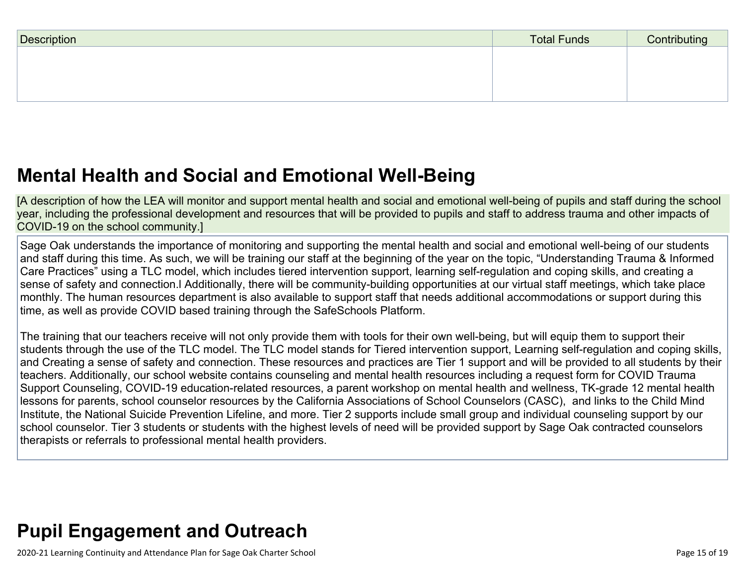| Description | <b>Total Funds</b> | Contributing |
|-------------|--------------------|--------------|
|             |                    |              |
|             |                    |              |
|             |                    |              |

## **Mental Health and Social and Emotional [Well-Being](http://www.doc-tracking.com/screenshots/20LCP/Instructions/20LCPInstructions.htm#MentalHealthandSocialandEmotional)**

[A description of how the LEA will monitor and support mental health and social and emotional well-being of pupils and staff during the school year, including the professional development and resources that will be provided to pupils and staff to address trauma and other impacts of COVID-19 on the school community.]

Sage Oak understands the importance of monitoring and supporting the mental health and social and emotional well-being of our students and staff during this time. As such, we will be training our staff at the beginning of the year on the topic, "Understanding Trauma & Informed Care Practices" using a TLC model, which includes tiered intervention support, learning self-regulation and coping skills, and creating a sense of safety and connection.l Additionally, there will be community-building opportunities at our virtual staff meetings, which take place monthly. The human resources department is also available to support staff that needs additional accommodations or support during this time, as well as provide COVID based training through the SafeSchools Platform.

The training that our teachers receive will not only provide them with tools for their own well-being, but will equip them to support their students through the use of the TLC model. The TLC model stands for Tiered intervention support, Learning self-regulation and coping skills, and Creating a sense of safety and connection. These resources and practices are Tier 1 support and will be provided to all students by their teachers. Additionally, our school website contains counseling and mental health resources including a request form for COVID Trauma Support Counseling, COVID-19 education-related resources, a parent workshop on mental health and wellness, TK-grade 12 mental health lessons for parents, school counselor resources by the California Associations of School Counselors (CASC), and links to the Child Mind Institute, the National Suicide Prevention Lifeline, and more. Tier 2 supports include small group and individual counseling support by our school counselor. Tier 3 students or students with the highest levels of need will be provided support by Sage Oak contracted counselors therapists or referrals to professional mental health providers.

## **Pupil [Engagement](http://www.doc-tracking.com/screenshots/20LCP/Instructions/20LCPInstructions.htm#PupilEngagementandOutreach) and Outreach**

2020-21 Learning Continuity and Attendance Plan for Sage Oak Charter School Page 15 of 19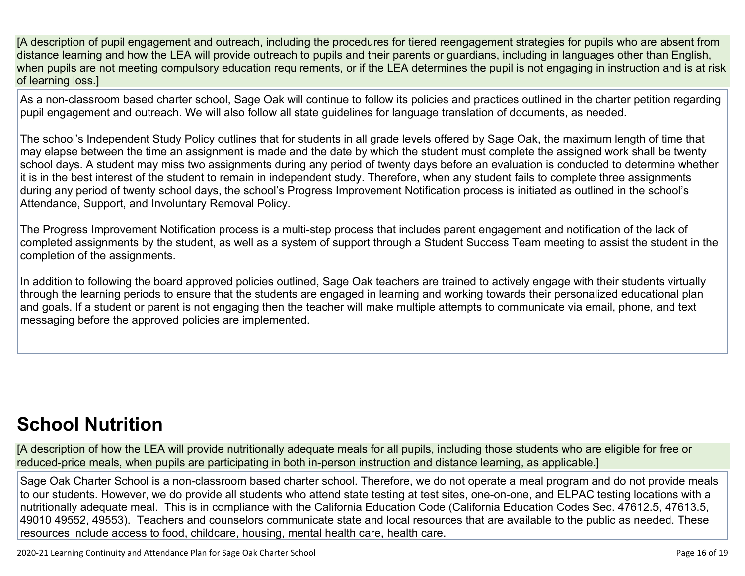[A description of pupil engagement and outreach, including the procedures for tiered reengagement strategies for pupils who are absent from distance learning and how the LEA will provide outreach to pupils and their parents or guardians, including in languages other than English, when pupils are not meeting compulsory education requirements, or if the LEA determines the pupil is not engaging in instruction and is at risk of learning loss.]

As a non-classroom based charter school, Sage Oak will continue to follow its policies and practices outlined in the charter petition regarding pupil engagement and outreach. We will also follow all state guidelines for language translation of documents, as needed.

The school's Independent Study Policy outlines that for students in all grade levels offered by Sage Oak, the maximum length of time that may elapse between the time an assignment is made and the date by which the student must complete the assigned work shall be twenty school days. A student may miss two assignments during any period of twenty days before an evaluation is conducted to determine whether it is in the best interest of the student to remain in independent study. Therefore, when any student fails to complete three assignments during any period of twenty school days, the school's Progress Improvement Notification process is initiated as outlined in the school's Attendance, Support, and Involuntary Removal Policy.

The Progress Improvement Notification process is a multi-step process that includes parent engagement and notification of the lack of completed assignments by the student, as well as a system of support through a Student Success Team meeting to assist the student in the completion of the assignments.

In addition to following the board approved policies outlined, Sage Oak teachers are trained to actively engage with their students virtually through the learning periods to ensure that the students are engaged in learning and working towards their personalized educational plan and goals. If a student or parent is not engaging then the teacher will make multiple attempts to communicate via email, phone, and text messaging before the approved policies are implemented.

## **School [Nutrition](http://www.doc-tracking.com/screenshots/20LCP/Instructions/20LCPInstructions.htm#SchoolNutrition)**

[A description of how the LEA will provide nutritionally adequate meals for all pupils, including those students who are eligible for free or reduced-price meals, when pupils are participating in both in-person instruction and distance learning, as applicable.]

Sage Oak Charter School is a non-classroom based charter school. Therefore, we do not operate a meal program and do not provide meals to our students. However, we do provide all students who attend state testing at test sites, one-on-one, and ELPAC testing locations with a nutritionally adequate meal. This is in compliance with the California Education Code (California Education Codes Sec. 47612.5, 47613.5, 49010 49552, 49553). Teachers and counselors communicate state and local resources that are available to the public as needed. These resources include access to food, childcare, housing, mental health care, health care.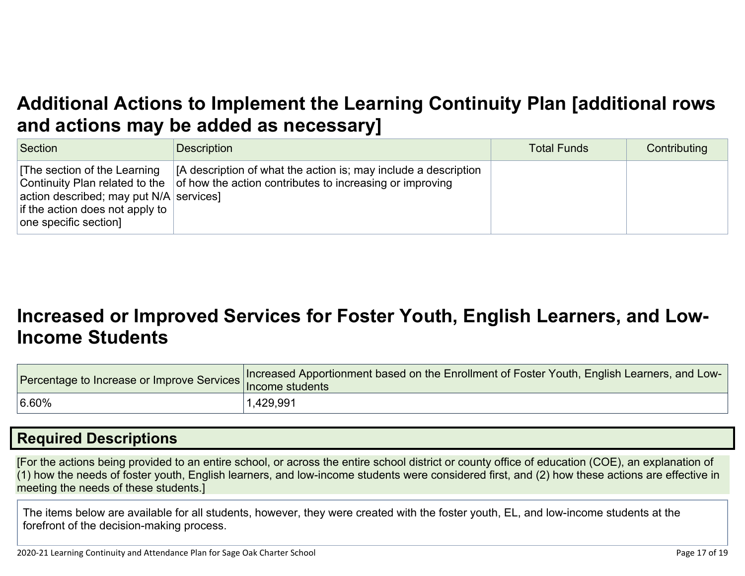## **Additional Actions to Implement the Learning Continuity Plan [\[additional](http://www.doc-tracking.com/screenshots/20LCP/Instructions/20LCPInstructions.htm#AdditionalActions) rows and actions may be added as [necessary\]](http://www.doc-tracking.com/screenshots/20LCP/Instructions/20LCPInstructions.htm#AdditionalActions)**

| Section                                                                                                                              | <b>Description</b>                                                                                                                                                 | <b>Total Funds</b> | Contributing |
|--------------------------------------------------------------------------------------------------------------------------------------|--------------------------------------------------------------------------------------------------------------------------------------------------------------------|--------------------|--------------|
| The section of the Learning<br>action described; may put $N/A$ services]<br>if the action does not apply to<br>one specific section] | [A description of what the action is; may include a description<br>Continuity Plan related to the $\vert$ of how the action contributes to increasing or improving |                    |              |

## **[Increased](http://www.doc-tracking.com/screenshots/20LCP/Instructions/20LCPInstructions.htm#IncreasedorImprovedServices) or Improved Services for Foster Youth, English Learners, and Low-Income [Students](http://www.doc-tracking.com/screenshots/20LCP/Instructions/20LCPInstructions.htm#IncreasedorImprovedServices)**

|           | Tercentage to Increase or Improve Services Increased Apportionment based on the Enrollment of Foster Youth, English Learners, and Low |
|-----------|---------------------------------------------------------------------------------------------------------------------------------------|
| $ 6.60\%$ | 1,429,991                                                                                                                             |

### **Required [Descriptions](http://www.doc-tracking.com/screenshots/20LCP/Instructions/20LCPInstructions.htm#RequiredDescriptions)**

[For the actions being provided to an entire school, or across the entire school district or county office of education (COE), an explanation of (1) how the needs of foster youth, English learners, and low-income students were considered first, and (2) how these actions are effective in meeting the needs of these students.]

The items below are available for all students, however, they were created with the foster youth, EL, and low-income students at the forefront of the decision-making process.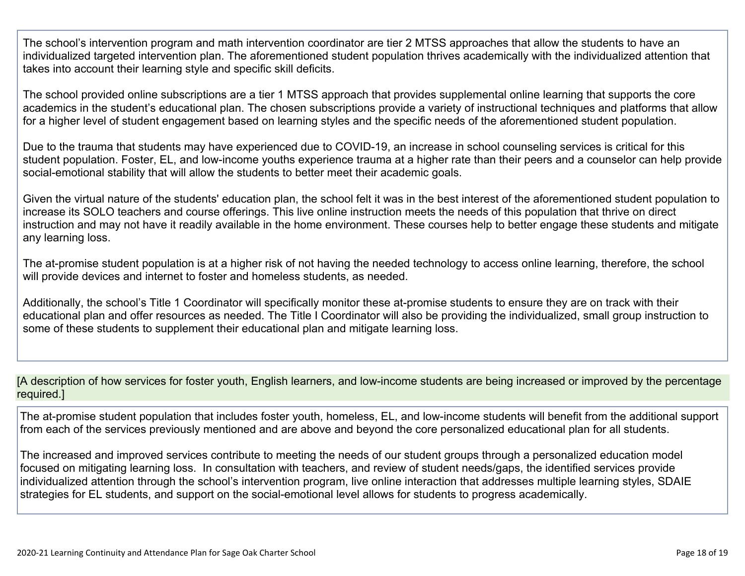The school's intervention program and math intervention coordinator are tier 2 MTSS approaches that allow the students to have an individualized targeted intervention plan. The aforementioned student population thrives academically with the individualized attention that takes into account their learning style and specific skill deficits.

The school provided online subscriptions are a tier 1 MTSS approach that provides supplemental online learning that supports the core academics in the student's educational plan. The chosen subscriptions provide a variety of instructional techniques and platforms that allow for a higher level of student engagement based on learning styles and the specific needs of the aforementioned student population.

Due to the trauma that students may have experienced due to COVID-19, an increase in school counseling services is critical for this student population. Foster, EL, and low-income youths experience trauma at a higher rate than their peers and a counselor can help provide social-emotional stability that will allow the students to better meet their academic goals.

Given the virtual nature of the students' education plan, the school felt it was in the best interest of the aforementioned student population to increase its SOLO teachers and course offerings. This live online instruction meets the needs of this population that thrive on direct instruction and may not have it readily available in the home environment. These courses help to better engage these students and mitigate any learning loss.

The at-promise student population is at a higher risk of not having the needed technology to access online learning, therefore, the school will provide devices and internet to foster and homeless students, as needed.

Additionally, the school's Title 1 Coordinator will specifically monitor these at-promise students to ensure they are on track with their educational plan and offer resources as needed. The Title I Coordinator will also be providing the individualized, small group instruction to some of these students to supplement their educational plan and mitigate learning loss.

[A description of how services for foster youth, English learners, and low-income students are being increased or improved by the percentage required.]

The at-promise student population that includes foster youth, homeless, EL, and low-income students will benefit from the additional support from each of the services previously mentioned and are above and beyond the core personalized educational plan for all students.

The increased and improved services contribute to meeting the needs of our student groups through a personalized education model focused on mitigating learning loss. In consultation with teachers, and review of student needs/gaps, the identified services provide individualized attention through the school's intervention program, live online interaction that addresses multiple learning styles, SDAIE strategies for EL students, and support on the social-emotional level allows for students to progress academically.